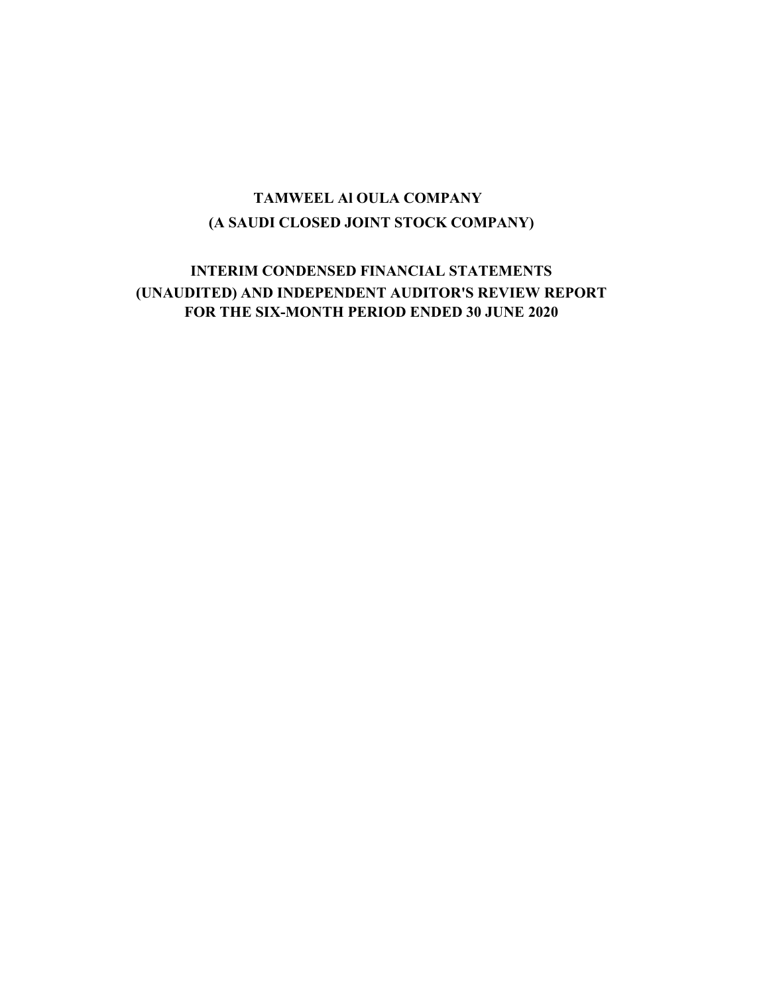## (A SAUDI CLOSED JOINT STOCK COMPANY) TAMWEEL Al OULA COMPANY

## INTERIM CONDENSED FINANCIAL STATEMENTS (UNAUDITED) AND INDEPENDENT AUDITOR'S REVIEW REPORT FOR THE SIX-MONTH PERIOD ENDED 30 JUNE 2020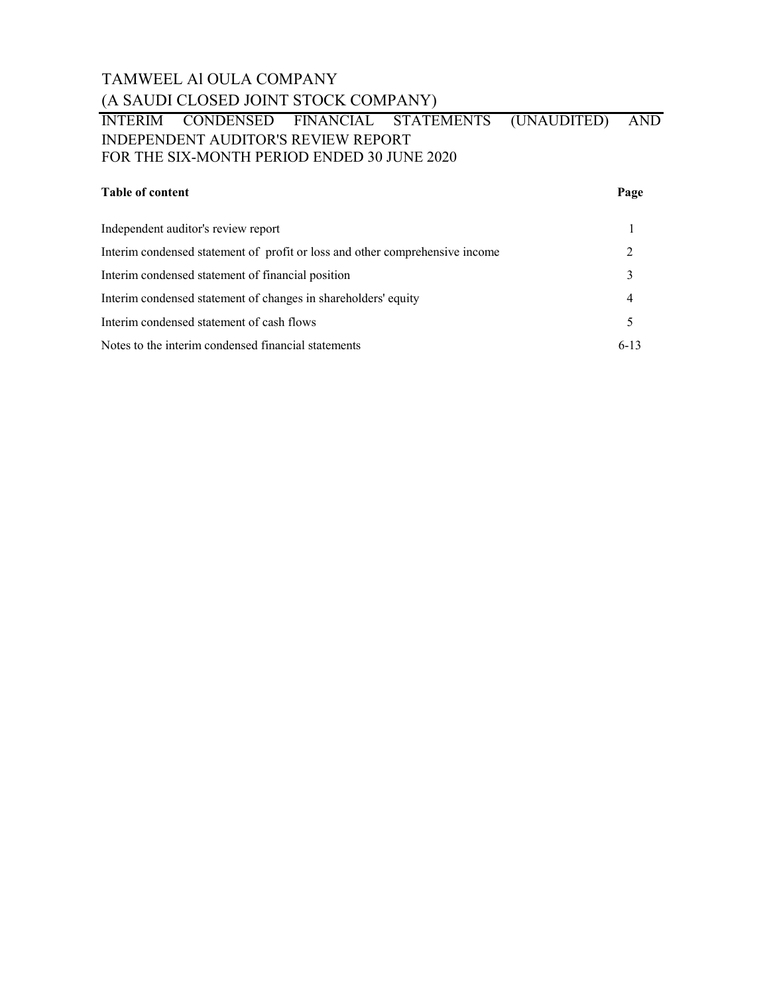## TAMWEEL Al OULA COMPANY (A SAUDI CLOSED JOINT STOCK COMPANY)

## INTERIM CONDENSED FINANCIAL STATEMENTS (UNAUDITED) AND INDEPENDENT AUDITOR'S REVIEW REPORT FOR THE SIX-MONTH PERIOD ENDED 30 JUNE 2020

### Table of content Page

| Independent auditor's review report                                          |        |
|------------------------------------------------------------------------------|--------|
| Interim condensed statement of profit or loss and other comprehensive income |        |
| Interim condensed statement of financial position                            |        |
| Interim condensed statement of changes in shareholders' equity               |        |
| Interim condensed statement of cash flows                                    |        |
| Notes to the interim condensed financial statements                          | $6-13$ |
|                                                                              |        |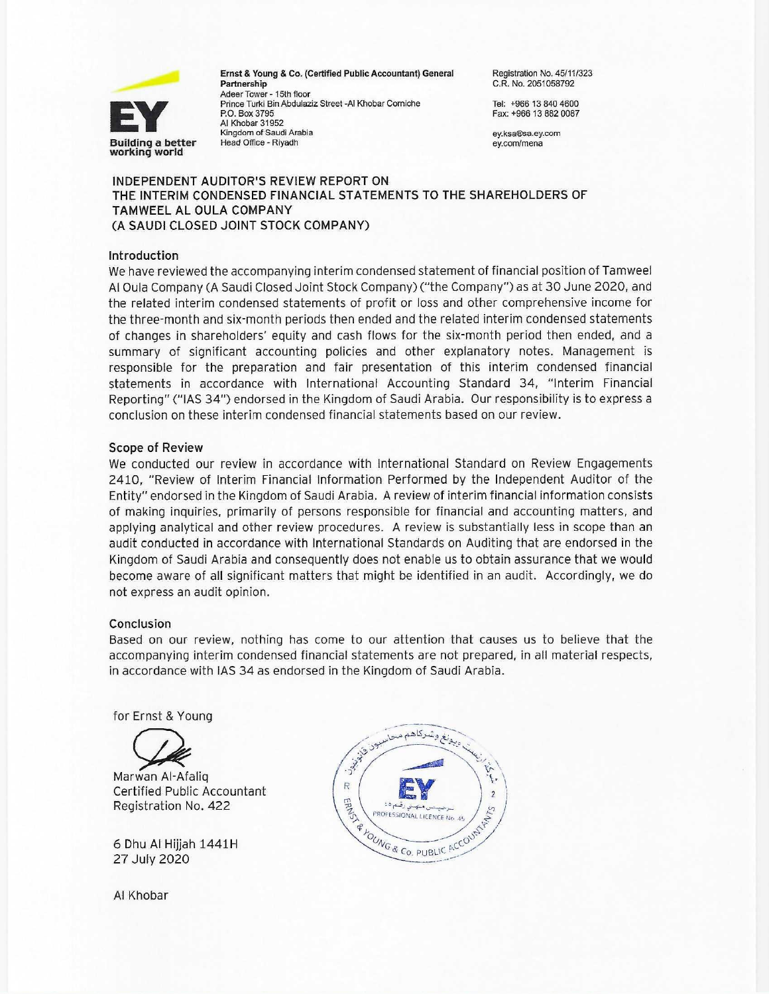

Ernst & Young & Co. (Certified Public Accountant) General Partnership Adeer Tower - 15th floor Prince Turki Bin Abdulaziz Street -Al Khobar Corniche P.O. Box 3795 Al Khobar 31952 Kingdom of Saudi Arabia Head Office - Riyadh

Registration No. 45/11/323 C.R. No. 2051058792

Tel: +966 13 840 4600 Fax: +966 13 882 0087

ey.ksa®sa.ey.com ev.com/mena

### INDEPENDENT AUDITOR'S REVIEW REPORT ON THE INTERIM CONDENSED FINANCIAL STATEMENTS TO THE SHAREHOLDERS OF TAMWEEL AL OULA COMPANY (A SAUDI CLOSED JOINT STOCK COMPANY)

### Introduction

We have reviewed the accompanying interim condensed statement of financial position of Tamweel Al Oula Company (A Saudi Closed Joint Stock Company) ("the Company") as at 30 June 2020, and the related interim condensed statements of profit or loss and other comprehensive income for the three-month and six-month periods then ended and the related interim condensed statements of changes in shareholders' equity and cash flows for the six-month period then ended, and a summary of significant accounting policies and other explanatory notes. Management is responsible for the preparation and fair presentation of this interim condensed financial statements in accordance with International Accounting Standard 34, "Interim Financial Reporting" ("IAS 34") endorsed in the Kingdom of Saudi Arabia. Our responsibility is to express a conclusion on these interim condensed financial statements based on our review.

### **Scope of Review**

We conducted our review in accordance with International Standard on Review Engagements 2410, "Review of Interim Financial Information Performed by the Independent Auditor of the Entity" endorsed in the Kingdom of Saudi Arabia. A review of interim financial information consists of making inquiries, primarily of persons responsible for financial and accounting matters, and applying analytical and other review procedures. A review is substantially less in scope than an audit conducted in accordance with International Standards on Auditing that are endorsed in the Kingdom of Saudi Arabia and consequently does not enable us to obtain assurance that we would become aware of all significant matters that might be identified in an audit. Accordingly, we do not express an audit opinion.

### Conclusion

Based on our review, nothing has come to our attention that causes us to believe that the accompanying interim condensed financial statements are not prepared, in all material respects, in accordance with IAS 34 as endorsed in the Kingdom of Saudi Arabia.

for Ernst & Young



Marwan Al-Afalig **Certified Public Accountant** Registration No. 422

6 Dhu Al Hijjah 1441H 27 July 2020

Al Khobar

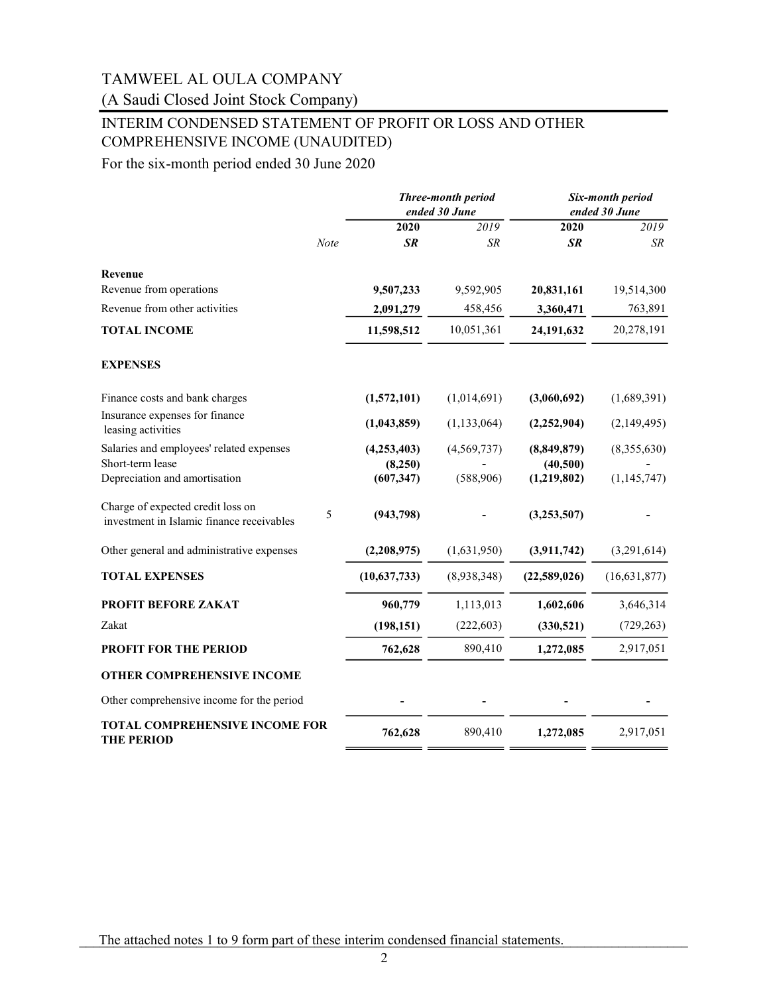## (A Saudi Closed Joint Stock Company)

## INTERIM CONDENSED STATEMENT OF PROFIT OR LOSS AND OTHER COMPREHENSIVE INCOME (UNAUDITED)

For the six-month period ended 30 June 2020

|                                                                                |             |                       | Three-month period<br>ended 30 June |                         | Six-month period<br>ended 30 June |
|--------------------------------------------------------------------------------|-------------|-----------------------|-------------------------------------|-------------------------|-----------------------------------|
|                                                                                |             | 2020                  | 2019                                | 2020                    | 2019                              |
|                                                                                | <b>Note</b> | <b>SR</b>             | <b>SR</b>                           | <b>SR</b>               | <b>SR</b>                         |
| Revenue                                                                        |             |                       |                                     |                         |                                   |
| Revenue from operations                                                        |             | 9,507,233             | 9,592,905                           | 20,831,161              | 19,514,300                        |
| Revenue from other activities                                                  |             | 2,091,279             | 458,456                             | 3,360,471               | 763,891                           |
| <b>TOTAL INCOME</b>                                                            |             | 11,598,512            | 10,051,361                          | 24,191,632              | 20,278,191                        |
| <b>EXPENSES</b>                                                                |             |                       |                                     |                         |                                   |
| Finance costs and bank charges                                                 |             | (1,572,101)           | (1,014,691)                         | (3,060,692)             | (1,689,391)                       |
| Insurance expenses for finance<br>leasing activities                           |             | (1,043,859)           | (1, 133, 064)                       | (2,252,904)             | (2,149,495)                       |
| Salaries and employees' related expenses                                       |             | (4,253,403)           | (4,569,737)                         | (8,849,879)             | (8,355,630)                       |
| Short-term lease<br>Depreciation and amortisation                              |             | (8,250)<br>(607, 347) | (588,906)                           | (40,500)<br>(1,219,802) | (1, 145, 747)                     |
| Charge of expected credit loss on<br>investment in Islamic finance receivables | 5           | (943, 798)            |                                     | (3,253,507)             |                                   |
| Other general and administrative expenses                                      |             | (2,208,975)           | (1,631,950)                         | (3,911,742)             | (3,291,614)                       |
| <b>TOTAL EXPENSES</b>                                                          |             | (10,637,733)          | (8,938,348)                         | (22,589,026)            | (16, 631, 877)                    |
| PROFIT BEFORE ZAKAT                                                            |             | 960,779               | 1,113,013                           | 1,602,606               | 3,646,314                         |
| Zakat                                                                          |             | (198, 151)            | (222, 603)                          | (330, 521)              | (729, 263)                        |
| <b>PROFIT FOR THE PERIOD</b>                                                   |             | 762,628               | 890,410                             | 1,272,085               | 2,917,051                         |
| OTHER COMPREHENSIVE INCOME                                                     |             |                       |                                     |                         |                                   |
| Other comprehensive income for the period                                      |             |                       |                                     |                         |                                   |
| <b>TOTAL COMPREHENSIVE INCOME FOR</b><br><b>THE PERIOD</b>                     |             | 762,628               | 890,410                             | 1,272,085               | 2,917,051                         |

The attached notes 1 to 9 form part of these interim condensed financial statements.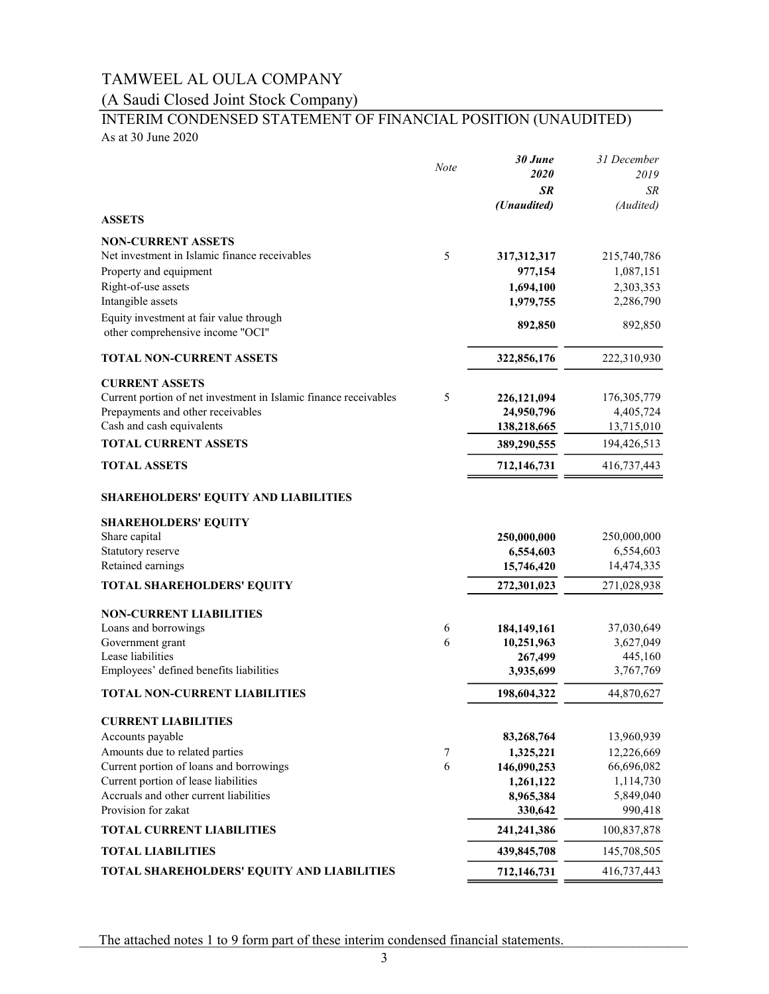## (A Saudi Closed Joint Stock Company)

# INTERIM CONDENSED STATEMENT OF FINANCIAL POSITION (UNAUDITED)

As at 30 June 2020

|                                                                  | <b>Note</b> | 30 June     | 31 December |
|------------------------------------------------------------------|-------------|-------------|-------------|
|                                                                  |             | 2020        | 2019        |
|                                                                  |             | <b>SR</b>   | SR          |
| <b>ASSETS</b>                                                    |             | (Unaudited) | (Audited)   |
| <b>NON-CURRENT ASSETS</b>                                        |             |             |             |
| Net investment in Islamic finance receivables                    | 5           | 317,312,317 | 215,740,786 |
| Property and equipment                                           |             | 977,154     | 1,087,151   |
| Right-of-use assets                                              |             | 1,694,100   | 2,303,353   |
| Intangible assets                                                |             | 1,979,755   | 2,286,790   |
| Equity investment at fair value through                          |             |             |             |
| other comprehensive income "OCI"                                 |             | 892,850     | 892,850     |
| <b>TOTAL NON-CURRENT ASSETS</b>                                  |             | 322,856,176 | 222,310,930 |
| <b>CURRENT ASSETS</b>                                            |             |             |             |
| Current portion of net investment in Islamic finance receivables | 5           | 226,121,094 | 176,305,779 |
| Prepayments and other receivables                                |             | 24,950,796  | 4,405,724   |
| Cash and cash equivalents                                        |             | 138,218,665 | 13,715,010  |
| <b>TOTAL CURRENT ASSETS</b>                                      |             | 389,290,555 | 194,426,513 |
| <b>TOTAL ASSETS</b>                                              |             | 712,146,731 | 416,737,443 |
| <b>SHAREHOLDERS' EQUITY AND LIABILITIES</b>                      |             |             |             |
| <b>SHAREHOLDERS' EQUITY</b>                                      |             |             |             |
| Share capital                                                    |             | 250,000,000 | 250,000,000 |
| Statutory reserve                                                |             | 6,554,603   | 6,554,603   |
| Retained earnings                                                |             | 15,746,420  | 14,474,335  |
| <b>TOTAL SHAREHOLDERS' EQUITY</b>                                |             | 272,301,023 | 271,028,938 |
| <b>NON-CURRENT LIABILITIES</b>                                   |             |             |             |
| Loans and borrowings                                             | 6           | 184,149,161 | 37,030,649  |
| Government grant                                                 | 6           | 10,251,963  | 3,627,049   |
| Lease liabilities                                                |             | 267,499     | 445,160     |
| Employees' defined benefits liabilities                          |             | 3,935,699   | 3,767,769   |
| <b>TOTAL NON-CURRENT LIABILITIES</b>                             |             | 198,604,322 | 44,870,627  |
| <b>CURRENT LIABILITIES</b>                                       |             |             |             |
| Accounts payable                                                 |             | 83,268,764  | 13,960,939  |
| Amounts due to related parties                                   | 7           | 1,325,221   | 12,226,669  |
| Current portion of loans and borrowings                          | 6           | 146,090,253 | 66,696,082  |
| Current portion of lease liabilities                             |             | 1,261,122   | 1,114,730   |
| Accruals and other current liabilities                           |             | 8,965,384   | 5,849,040   |
| Provision for zakat                                              |             | 330,642     | 990,418     |
| <b>TOTAL CURRENT LIABILITIES</b>                                 |             | 241,241,386 | 100,837,878 |
| <b>TOTAL LIABILITIES</b>                                         |             | 439,845,708 | 145,708,505 |
| TOTAL SHAREHOLDERS' EQUITY AND LIABILITIES                       |             | 712,146,731 | 416,737,443 |

The attached notes 1 to 9 form part of these interim condensed financial statements.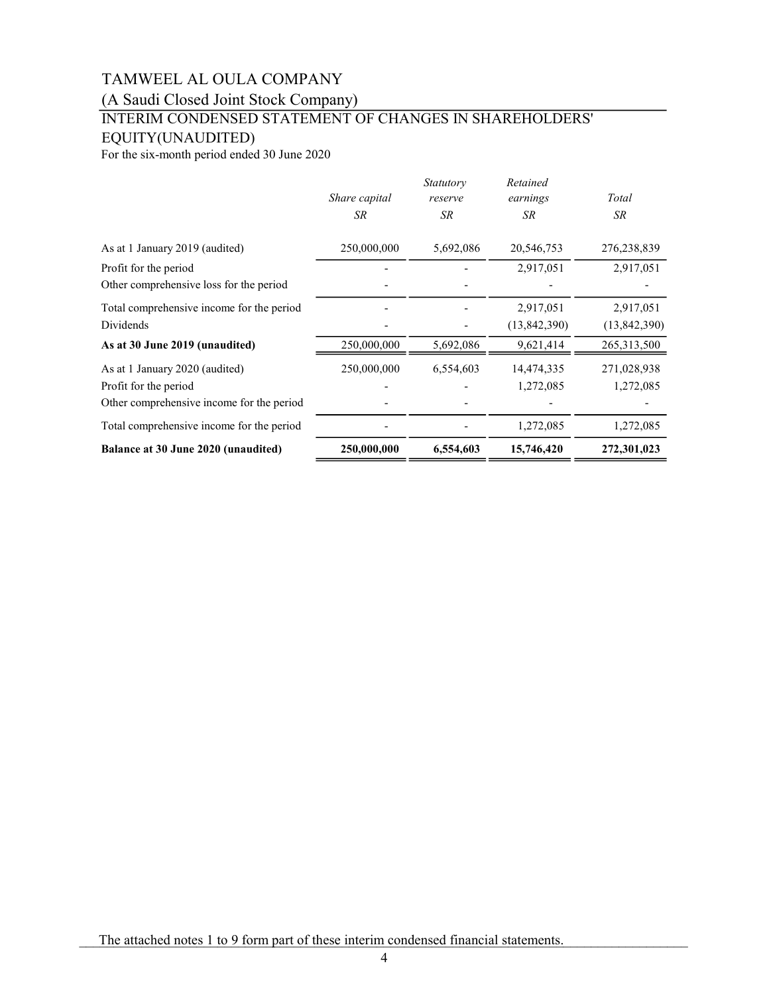(A Saudi Closed Joint Stock Company)

## INTERIM CONDENSED STATEMENT OF CHANGES IN SHAREHOLDERS' EQUITY(UNAUDITED)

For the six-month period ended 30 June 2020

|                                           |                     | <i>Statutory</i>     | Retained              | Total        |
|-------------------------------------------|---------------------|----------------------|-----------------------|--------------|
|                                           | Share capital<br>SR | reserve<br><b>SR</b> | earnings<br><b>SR</b> | <b>SR</b>    |
| As at 1 January 2019 (audited)            | 250,000,000         | 5,692,086            | 20,546,753            | 276,238,839  |
| Profit for the period                     |                     |                      | 2,917,051             | 2,917,051    |
| Other comprehensive loss for the period   |                     |                      |                       |              |
| Total comprehensive income for the period |                     |                      | 2,917,051             | 2,917,051    |
| <b>Dividends</b>                          |                     |                      | (13,842,390)          | (13,842,390) |
| As at 30 June 2019 (unaudited)            | 250,000,000         | 5,692,086            | 9,621,414             | 265,313,500  |
| As at 1 January 2020 (audited)            | 250,000,000         | 6,554,603            | 14,474,335            | 271,028,938  |
| Profit for the period                     |                     |                      | 1,272,085             | 1,272,085    |
| Other comprehensive income for the period |                     |                      |                       |              |
| Total comprehensive income for the period |                     |                      | 1,272,085             | 1,272,085    |
| Balance at 30 June 2020 (unaudited)       | 250,000,000         | 6,554,603            | 15,746,420            | 272,301,023  |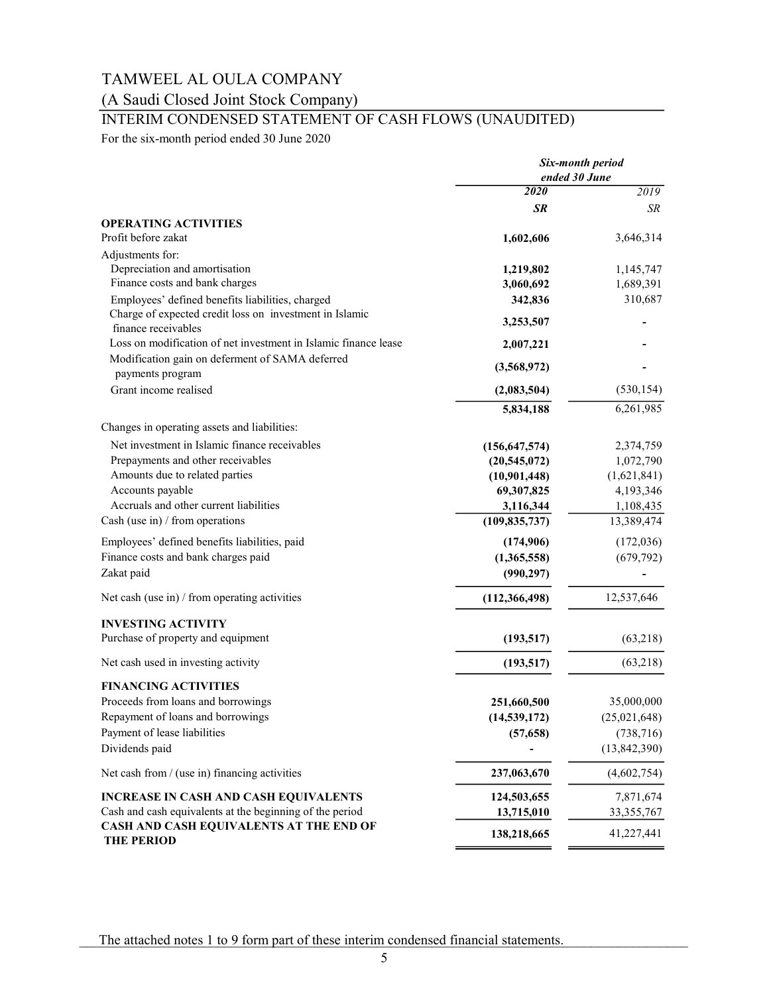## (A Saudi Closed Joint Stock Company)

## INTERIM CONDENSED STATEMENT OF CASH FLOWS (UNAUDITED)

For the six-month period ended 30 June 2020

|                                                                                      | Six-month period<br>ended 30 June |                          |  |
|--------------------------------------------------------------------------------------|-----------------------------------|--------------------------|--|
|                                                                                      | 2020                              | 2019                     |  |
|                                                                                      | SR                                | SR                       |  |
| <b>OPERATING ACTIVITIES</b>                                                          |                                   |                          |  |
| Profit before zakat                                                                  | 1,602,606                         | 3,646,314                |  |
| Adjustments for:                                                                     |                                   |                          |  |
| Depreciation and amortisation                                                        | 1,219,802                         | 1,145,747                |  |
| Finance costs and bank charges                                                       | 3,060,692                         | 1,689,391                |  |
| Employees' defined benefits liabilities, charged                                     | 342,836                           | 310,687                  |  |
| Charge of expected credit loss on investment in Islamic<br>finance receivables       | 3,253,507                         |                          |  |
| Loss on modification of net investment in Islamic finance lease                      | 2,007,221                         |                          |  |
| Modification gain on deferment of SAMA deferred                                      |                                   |                          |  |
| payments program                                                                     | (3,568,972)                       |                          |  |
| Grant income realised                                                                | (2,083,504)                       | (530, 154)               |  |
|                                                                                      | 5,834,188                         | 6,261,985                |  |
| Changes in operating assets and liabilities:                                         |                                   |                          |  |
| Net investment in Islamic finance receivables                                        |                                   |                          |  |
| Prepayments and other receivables                                                    | (156, 647, 574)                   | 2,374,759                |  |
| Amounts due to related parties                                                       | (20,545,072)<br>(10,901,448)      | 1,072,790<br>(1,621,841) |  |
| Accounts payable                                                                     | 69,307,825                        | 4,193,346                |  |
| Accruals and other current liabilities                                               | 3,116,344                         | 1,108,435                |  |
| Cash (use in) $/$ from operations                                                    | (109, 835, 737)                   | 13,389,474               |  |
|                                                                                      |                                   |                          |  |
| Employees' defined benefits liabilities, paid<br>Finance costs and bank charges paid | (174,906)                         | (172,036)                |  |
| Zakat paid                                                                           | (1,365,558)                       | (679, 792)               |  |
|                                                                                      | (990, 297)                        |                          |  |
| Net cash (use in) $/$ from operating activities                                      | (112, 366, 498)                   | 12,537,646               |  |
| <b>INVESTING ACTIVITY</b>                                                            |                                   |                          |  |
| Purchase of property and equipment                                                   | (193, 517)                        | (63,218)                 |  |
| Net cash used in investing activity                                                  | (193, 517)                        | (63,218)                 |  |
| <b>FINANCING ACTIVITIES</b>                                                          |                                   |                          |  |
| Proceeds from loans and borrowings                                                   | 251,660,500                       | 35,000,000               |  |
| Repayment of loans and borrowings                                                    | (14, 539, 172)                    | (25,021,648)             |  |
| Payment of lease liabilities                                                         | (57, 658)                         | (738, 716)               |  |
| Dividends paid                                                                       |                                   | (13, 842, 390)           |  |
| Net cash from / (use in) financing activities                                        | 237,063,670                       | (4,602,754)              |  |
| <b>INCREASE IN CASH AND CASH EQUIVALENTS</b>                                         | 124,503,655                       | 7,871,674                |  |
| Cash and cash equivalents at the beginning of the period                             | 13,715,010                        | 33, 355, 767             |  |
| CASH AND CASH EQUIVALENTS AT THE END OF                                              | 138,218,665                       | 41,227,441               |  |
| <b>THE PERIOD</b>                                                                    |                                   |                          |  |

The attached notes 1 to 9 form part of these interim condensed financial statements.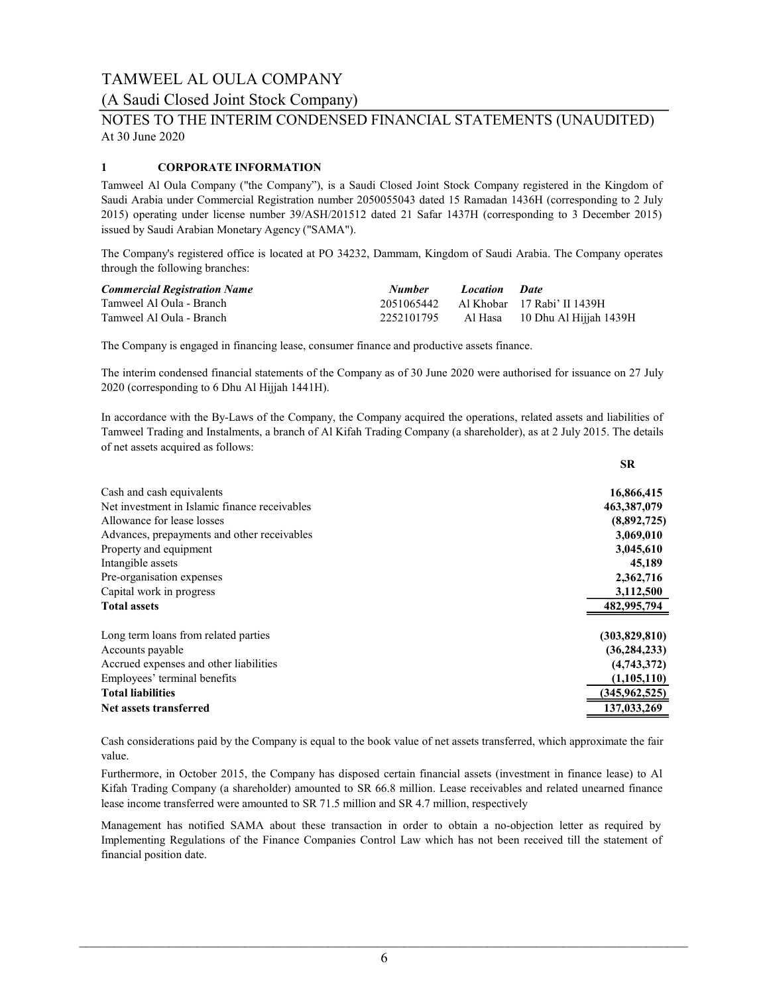### (A Saudi Closed Joint Stock Company)

## At 30 June 2020 NOTES TO THE INTERIM CONDENSED FINANCIAL STATEMENTS (UNAUDITED)

### 1 CORPORATE INFORMATION

Tamweel Al Oula Company ("the Company"), is a Saudi Closed Joint Stock Company registered in the Kingdom of Saudi Arabia under Commercial Registration number 2050055043 dated 15 Ramadan 1436H (corresponding to 2 July 2015) operating under license number 39/ASH/201512 dated 21 Safar 1437H (corresponding to 3 December 2015) issued by Saudi Arabian Monetary Agency ("SAMA").

The Company's registered office is located at PO 34232, Dammam, Kingdom of Saudi Arabia. The Company operates through the following branches:

| <b>Commercial Registration Name</b> | <b>Number</b> | Location Date |                                        |
|-------------------------------------|---------------|---------------|----------------------------------------|
| Tamweel Al Oula - Branch            |               |               | 2051065442 Al Khobar 17 Rabi' II 1439H |
| Tamweel Al Oula - Branch            | 2252101795    |               | Al Hasa — 10 Dhu Al Hijjah 1439H       |

The Company is engaged in financing lease, consumer finance and productive assets finance.

The interim condensed financial statements of the Company as of 30 June 2020 were authorised for issuance on 27 July 2020 (corresponding to 6 Dhu Al Hijjah 1441H).

In accordance with the By-Laws of the Company, the Company acquired the operations, related assets and liabilities of Tamweel Trading and Instalments, a branch of Al Kifah Trading Company (a shareholder), as at 2 July 2015. The details of net assets acquired as follows:

|                                               | <b>SR</b>       |
|-----------------------------------------------|-----------------|
| Cash and cash equivalents                     | 16,866,415      |
| Net investment in Islamic finance receivables | 463,387,079     |
| Allowance for lease losses                    | (8,892,725)     |
| Advances, prepayments and other receivables   | 3,069,010       |
| Property and equipment                        | 3,045,610       |
| Intangible assets                             | 45,189          |
| Pre-organisation expenses                     | 2,362,716       |
| Capital work in progress                      | 3,112,500       |
| <b>Total assets</b>                           | 482,995,794     |
| Long term loans from related parties          | (303,829,810)   |
| Accounts payable                              | (36, 284, 233)  |
| Accrued expenses and other liabilities        | (4,743,372)     |
| Employees' terminal benefits                  | (1,105,110)     |
| <b>Total liabilities</b>                      | (345, 962, 525) |
| Net assets transferred                        | 137,033,269     |

Cash considerations paid by the Company is equal to the book value of net assets transferred, which approximate the fair value.

Furthermore, in October 2015, the Company has disposed certain financial assets (investment in finance lease) to Al Kifah Trading Company (a shareholder) amounted to SR 66.8 million. Lease receivables and related unearned finance lease income transferred were amounted to SR 71.5 million and SR 4.7 million, respectively

Management has notified SAMA about these transaction in order to obtain a no-objection letter as required by Implementing Regulations of the Finance Companies Control Law which has not been received till the statement of financial position date.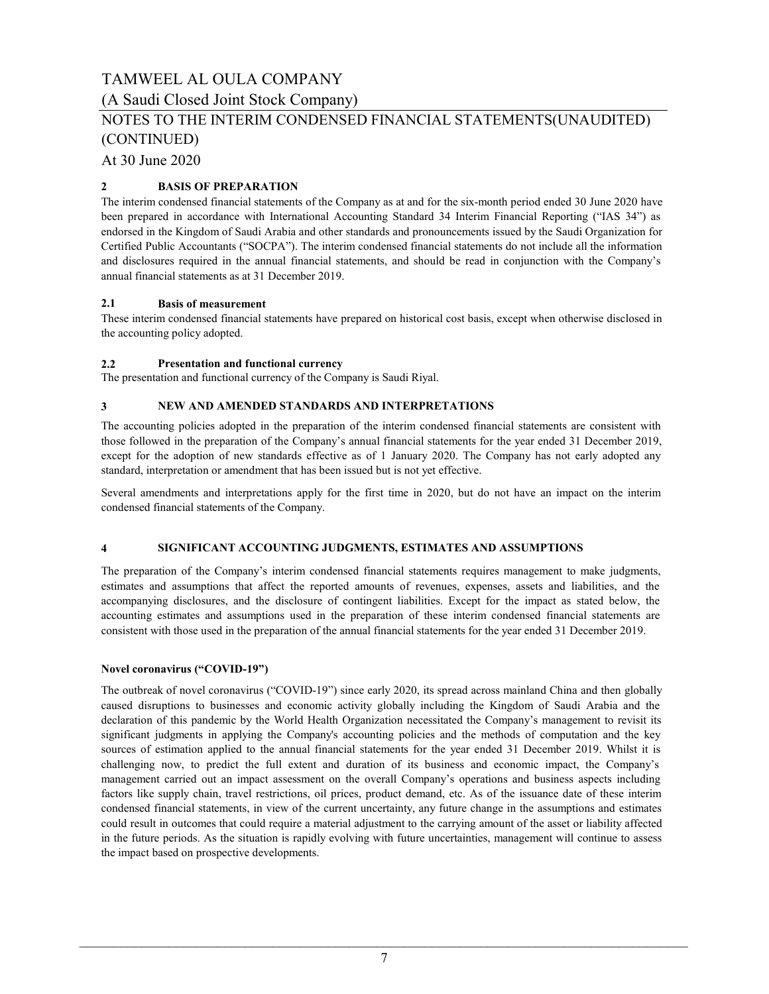(A Saudi Closed Joint Stock Company)

## NOTES TO THE INTERIM CONDENSED FINANCIAL STATEMENTS(UNAUDITED) (CONTINUED)

At 30 June 2020

### 2 BASIS OF PREPARATION

The interim condensed financial statements of the Company as at and for the six-month period ended 30 June 2020 have been prepared in accordance with International Accounting Standard 34 Interim Financial Reporting ("IAS 34") as endorsed in the Kingdom of Saudi Arabia and other standards and pronouncements issued by the Saudi Organization for Certified Public Accountants ("SOCPA"). The interim condensed financial statements do not include all the information and disclosures required in the annual financial statements, and should be read in conjunction with the Company's annual financial statements as at 31 December 2019.

### 2.1 Basis of measurement

These interim condensed financial statements have prepared on historical cost basis, except when otherwise disclosed in the accounting policy adopted.

### 2.2 Presentation and functional currency

The presentation and functional currency of the Company is Saudi Riyal.

#### 3 NEW AND AMENDED STANDARDS AND INTERPRETATIONS

The accounting policies adopted in the preparation of the interim condensed financial statements are consistent with those followed in the preparation of the Company's annual financial statements for the year ended 31 December 2019, except for the adoption of new standards effective as of 1 January 2020. The Company has not early adopted any standard, interpretation or amendment that has been issued but is not yet effective.

Several amendments and interpretations apply for the first time in 2020, but do not have an impact on the interim condensed financial statements of the Company.

#### 4 SIGNIFICANT ACCOUNTING JUDGMENTS, ESTIMATES AND ASSUMPTIONS

The preparation of the Company's interim condensed financial statements requires management to make judgments, estimates and assumptions that affect the reported amounts of revenues, expenses, assets and liabilities, and the accompanying disclosures, and the disclosure of contingent liabilities. Except for the impact as stated below, the accounting estimates and assumptions used in the preparation of these interim condensed financial statements are consistent with those used in the preparation of the annual financial statements for the year ended 31 December 2019.

### Novel coronavirus ("COVID-19")

The outbreak of novel coronavirus ("COVID-19") since early 2020, its spread across mainland China and then globally caused disruptions to businesses and economic activity globally including the Kingdom of Saudi Arabia and the declaration of this pandemic by the World Health Organization necessitated the Company's management to revisit its significant judgments in applying the Company's accounting policies and the methods of computation and the key sources of estimation applied to the annual financial statements for the year ended 31 December 2019. Whilst it is challenging now, to predict the full extent and duration of its business and economic impact, the Company's management carried out an impact assessment on the overall Company's operations and business aspects including factors like supply chain, travel restrictions, oil prices, product demand, etc. As of the issuance date of these interim condensed financial statements, in view of the current uncertainty, any future change in the assumptions and estimates could result in outcomes that could require a material adjustment to the carrying amount of the asset or liability affected in the future periods. As the situation is rapidly evolving with future uncertainties, management will continue to assess the impact based on prospective developments.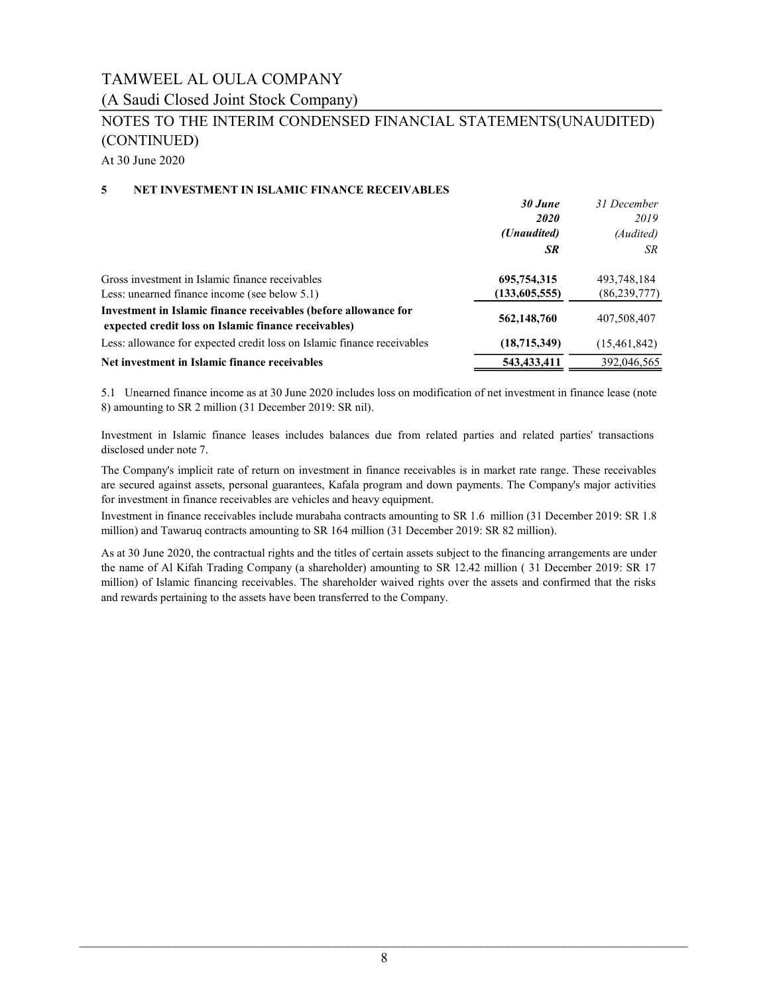(A Saudi Closed Joint Stock Company)

## NOTES TO THE INTERIM CONDENSED FINANCIAL STATEMENTS(UNAUDITED) (CONTINUED)

At 30 June 2020

### 5 NET INVESTMENT IN ISLAMIC FINANCE RECEIVABLES

|                                                                                                                         | 30 June       | 31 December    |
|-------------------------------------------------------------------------------------------------------------------------|---------------|----------------|
|                                                                                                                         | <i>2020</i>   | 2019           |
|                                                                                                                         | (Unaudited)   | (Audited)      |
|                                                                                                                         | SR            | SR             |
| Gross investment in Islamic finance receivables                                                                         | 695,754,315   | 493,748,184    |
| Less: unearned finance income (see below 5.1)                                                                           | (133,605,555) | (86, 239, 777) |
| Investment in Islamic finance receivables (before allowance for<br>expected credit loss on Islamic finance receivables) | 562,148,760   | 407,508,407    |
| Less: allowance for expected credit loss on Islamic finance receivables                                                 | (18,715,349)  | (15,461,842)   |
| Net investment in Islamic finance receivables                                                                           | 543,433,411   | 392,046,565    |

5.1 Unearned finance income as at 30 June 2020 includes loss on modification of net investment in finance lease (note 8) amounting to SR 2 million (31 December 2019: SR nil).

Investment in Islamic finance leases includes balances due from related parties and related parties' transactions disclosed under note 7.

The Company's implicit rate of return on investment in finance receivables is in market rate range. These receivables are secured against assets, personal guarantees, Kafala program and down payments. The Company's major activities for investment in finance receivables are vehicles and heavy equipment.

Investment in finance receivables include murabaha contracts amounting to SR 1.6 million (31 December 2019: SR 1.8 million) and Tawaruq contracts amounting to SR 164 million (31 December 2019: SR 82 million).

As at 30 June 2020, the contractual rights and the titles of certain assets subject to the financing arrangements are under the name of Al Kifah Trading Company (a shareholder) amounting to SR 12.42 million ( 31 December 2019: SR 17 million) of Islamic financing receivables. The shareholder waived rights over the assets and confirmed that the risks and rewards pertaining to the assets have been transferred to the Company.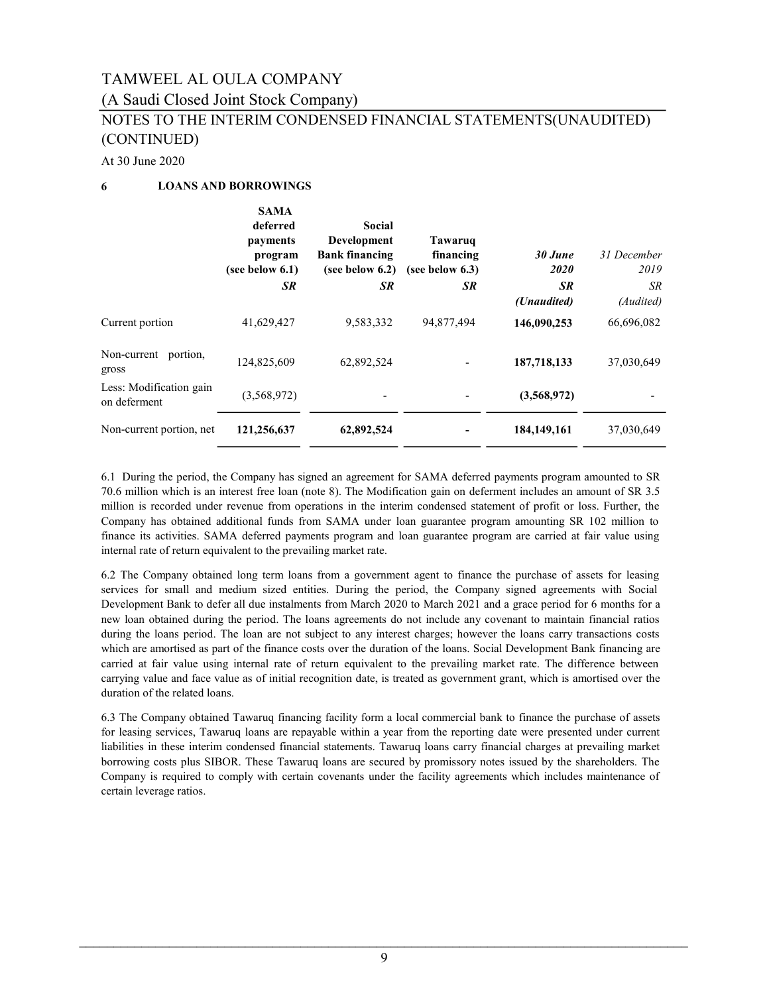### (A Saudi Closed Joint Stock Company)

## NOTES TO THE INTERIM CONDENSED FINANCIAL STATEMENTS(UNAUDITED) (CONTINUED)

At 30 June 2020

### 6 LOANS AND BORROWINGS

|                                         | <b>SAMA</b><br>deferred<br>payments<br>program<br>(see below 6.1) | Social<br><b>Development</b><br><b>Bank financing</b><br>(see below $6.2$ ) | Tawaruq<br>financing<br>(see below $6.3$ ) | 30 June<br>2020   | 31 December<br>2019 |
|-----------------------------------------|-------------------------------------------------------------------|-----------------------------------------------------------------------------|--------------------------------------------|-------------------|---------------------|
|                                         | <b>SR</b>                                                         | <b>SR</b>                                                                   | <b>SR</b>                                  | SR<br>(Unaudited) | SR.<br>(Audited)    |
| Current portion                         | 41,629,427                                                        | 9,583,332                                                                   | 94,877,494                                 | 146,090,253       | 66,696,082          |
| Non-current portion,<br>gross           | 124,825,609                                                       | 62,892,524                                                                  |                                            | 187,718,133       | 37,030,649          |
| Less: Modification gain<br>on deferment | (3,568,972)                                                       |                                                                             | -                                          | (3,568,972)       |                     |
| Non-current portion, net                | 121,256,637                                                       | 62,892,524                                                                  |                                            | 184,149,161       | 37,030,649          |

6.1 During the period, the Company has signed an agreement for SAMA deferred payments program amounted to SR 70.6 million which is an interest free loan (note 8). The Modification gain on deferment includes an amount of SR 3.5 million is recorded under revenue from operations in the interim condensed statement of profit or loss. Further, the Company has obtained additional funds from SAMA under loan guarantee program amounting SR 102 million to finance its activities. SAMA deferred payments program and loan guarantee program are carried at fair value using internal rate of return equivalent to the prevailing market rate.

6.2 The Company obtained long term loans from a government agent to finance the purchase of assets for leasing services for small and medium sized entities. During the period, the Company signed agreements with Social Development Bank to defer all due instalments from March 2020 to March 2021 and a grace period for 6 months for a new loan obtained during the period. The loans agreements do not include any covenant to maintain financial ratios during the loans period. The loan are not subject to any interest charges; however the loans carry transactions costs which are amortised as part of the finance costs over the duration of the loans. Social Development Bank financing are carried at fair value using internal rate of return equivalent to the prevailing market rate. The difference between carrying value and face value as of initial recognition date, is treated as government grant, which is amortised over the duration of the related loans.

6.3 The Company obtained Tawaruq financing facility form a local commercial bank to finance the purchase of assets for leasing services, Tawaruq loans are repayable within a year from the reporting date were presented under current liabilities in these interim condensed financial statements. Tawaruq loans carry financial charges at prevailing market borrowing costs plus SIBOR. These Tawaruq loans are secured by promissory notes issued by the shareholders. The Company is required to comply with certain covenants under the facility agreements which includes maintenance of certain leverage ratios.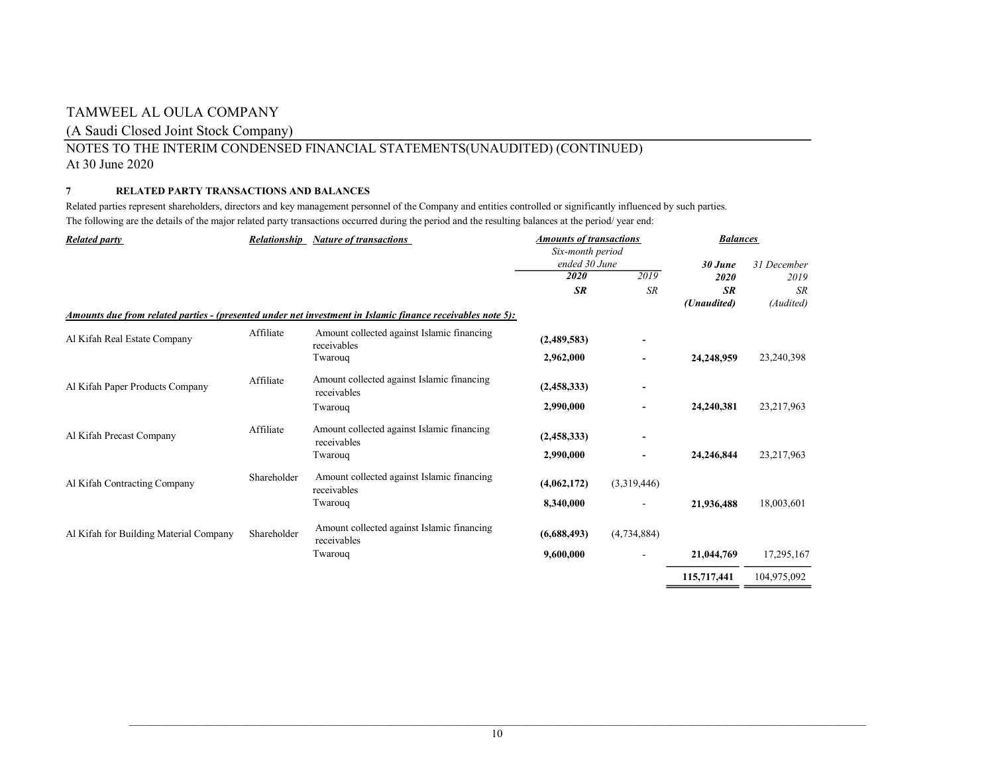### (A Saudi Closed Joint Stock Company)

### NOTES TO THE INTERIM CONDENSED FINANCIAL STATEMENTS(UNAUDITED) (CONTINUED) At 30 June 2020

### 7 RELATED PARTY TRANSACTIONS AND BALANCES

Related parties represent shareholders, directors and key management personnel of the Company and entities controlled or significantly influenced by such parties. The following are the details of the major related party transactions occurred during the period and the resulting balances at the period/ year end:

| <b>Related party</b>                   | <b>Relationship</b> | <b>Nature of transactions</b>                                                                              | <b>Amounts of transactions</b>    |             | <b>Balances</b> |              |  |
|----------------------------------------|---------------------|------------------------------------------------------------------------------------------------------------|-----------------------------------|-------------|-----------------|--------------|--|
|                                        |                     |                                                                                                            | Six-month period<br>ended 30 June |             | 30 June         | 31 December  |  |
|                                        |                     |                                                                                                            | 2020                              | 2019        | 2020            | 2019         |  |
|                                        |                     |                                                                                                            | <b>SR</b>                         | <b>SR</b>   | <b>SR</b>       | <b>SR</b>    |  |
|                                        |                     |                                                                                                            |                                   |             | (Unaudited)     | (Audited)    |  |
|                                        |                     | Amounts due from related parties - (presented under net investment in Islamic finance receivables note 5): |                                   |             |                 |              |  |
| Al Kifah Real Estate Company           | Affiliate           | Amount collected against Islamic financing<br>receivables                                                  | (2,489,583)                       | ٠           |                 |              |  |
|                                        |                     | Twarouq                                                                                                    | 2,962,000                         |             | 24,248,959      | 23,240,398   |  |
| Al Kifah Paper Products Company        | Affiliate           | Amount collected against Islamic financing<br>receivables                                                  | (2,458,333)                       |             |                 |              |  |
|                                        |                     | Twarouq                                                                                                    | 2,990,000                         |             | 24,240,381      | 23, 217, 963 |  |
| Al Kifah Precast Company               | Affiliate           | Amount collected against Islamic financing<br>receivables                                                  | (2,458,333)                       | -           |                 |              |  |
|                                        |                     | Twarouq                                                                                                    | 2,990,000                         | -           | 24,246,844      | 23,217,963   |  |
| Al Kifah Contracting Company           | Shareholder         | Amount collected against Islamic financing<br>receivables                                                  | (4,062,172)                       | (3,319,446) |                 |              |  |
|                                        |                     | Twarouq                                                                                                    | 8,340,000                         |             | 21,936,488      | 18,003,601   |  |
| Al Kifah for Building Material Company | Shareholder         | Amount collected against Islamic financing<br>receivables                                                  | (6,688,493)                       | (4,734,884) |                 |              |  |
|                                        |                     | Twarouq                                                                                                    | 9,600,000                         |             | 21,044,769      | 17,295,167   |  |
|                                        |                     |                                                                                                            |                                   |             | 115,717,441     | 104,975,092  |  |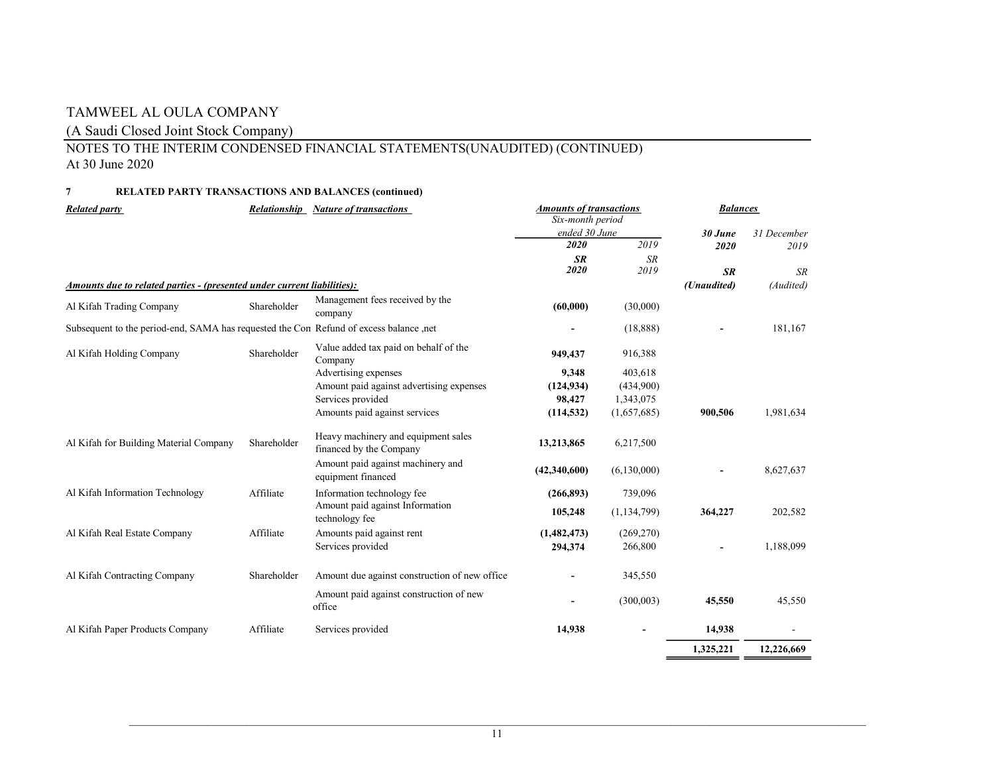### (A Saudi Closed Joint Stock Company)

### NOTES TO THE INTERIM CONDENSED FINANCIAL STATEMENTS(UNAUDITED) (CONTINUED) At 30 June 2020

### 7 RELATED PARTY TRANSACTIONS AND BALANCES (continued)

| <b>Related party</b>                                                                   |             | <b>Relationship Nature of transactions</b>                     | <b>Amounts of transactions</b><br>Six-month period |               | <b>Balances</b>          |             |
|----------------------------------------------------------------------------------------|-------------|----------------------------------------------------------------|----------------------------------------------------|---------------|--------------------------|-------------|
|                                                                                        |             |                                                                | ended 30 June                                      |               | 30 June                  | 31 December |
|                                                                                        |             |                                                                | 2020                                               | 2019          | 2020                     | 2019        |
|                                                                                        |             |                                                                | SR                                                 | SR<br>2019    |                          |             |
|                                                                                        |             |                                                                | 2020                                               |               | <b>SR</b>                | SR          |
| Amounts due to related parties - (presented under current liabilities):                |             |                                                                |                                                    |               | (Unaudited)              | (Audited)   |
| Al Kifah Trading Company                                                               | Shareholder | Management fees received by the<br>company                     | (60,000)                                           | (30,000)      |                          |             |
| Subsequent to the period-end, SAMA has requested the Con Refund of excess balance ,net |             |                                                                | $\sim$                                             | (18, 888)     | $\sim$                   | 181,167     |
| Al Kifah Holding Company                                                               | Shareholder | Value added tax paid on behalf of the<br>Company               | 949,437                                            | 916,388       |                          |             |
|                                                                                        |             | Advertising expenses                                           | 9,348                                              | 403,618       |                          |             |
|                                                                                        |             | Amount paid against advertising expenses                       | (124, 934)                                         | (434,900)     |                          |             |
|                                                                                        |             | Services provided                                              | 98,427                                             | 1,343,075     |                          |             |
|                                                                                        |             | Amounts paid against services                                  | (114, 532)                                         | (1,657,685)   | 900,506                  | 1,981,634   |
| Al Kifah for Building Material Company                                                 | Shareholder | Heavy machinery and equipment sales<br>financed by the Company | 13,213,865                                         | 6,217,500     |                          |             |
|                                                                                        |             | Amount paid against machinery and<br>equipment financed        | (42,340,600)                                       | (6,130,000)   | $\overline{\phantom{0}}$ | 8,627,637   |
| Al Kifah Information Technology                                                        | Affiliate   | Information technology fee                                     | (266, 893)                                         | 739,096       |                          |             |
|                                                                                        |             | Amount paid against Information<br>technology fee              | 105,248                                            | (1, 134, 799) | 364,227                  | 202,582     |
| Al Kifah Real Estate Company                                                           | Affiliate   | Amounts paid against rent                                      | (1,482,473)                                        | (269, 270)    |                          |             |
|                                                                                        |             | Services provided                                              | 294,374                                            | 266,800       | $\sim$                   | 1,188,099   |
| Al Kifah Contracting Company                                                           | Shareholder | Amount due against construction of new office                  | $\sim$                                             | 345,550       |                          |             |
|                                                                                        |             | Amount paid against construction of new<br>office              | $\sim$                                             | (300,003)     | 45,550                   | 45,550      |
| Al Kifah Paper Products Company                                                        | Affiliate   | Services provided                                              | 14,938                                             | $\sim$        | 14,938                   | $\sim$      |
|                                                                                        |             |                                                                |                                                    |               | 1,325,221                | 12,226,669  |
|                                                                                        |             |                                                                |                                                    |               |                          |             |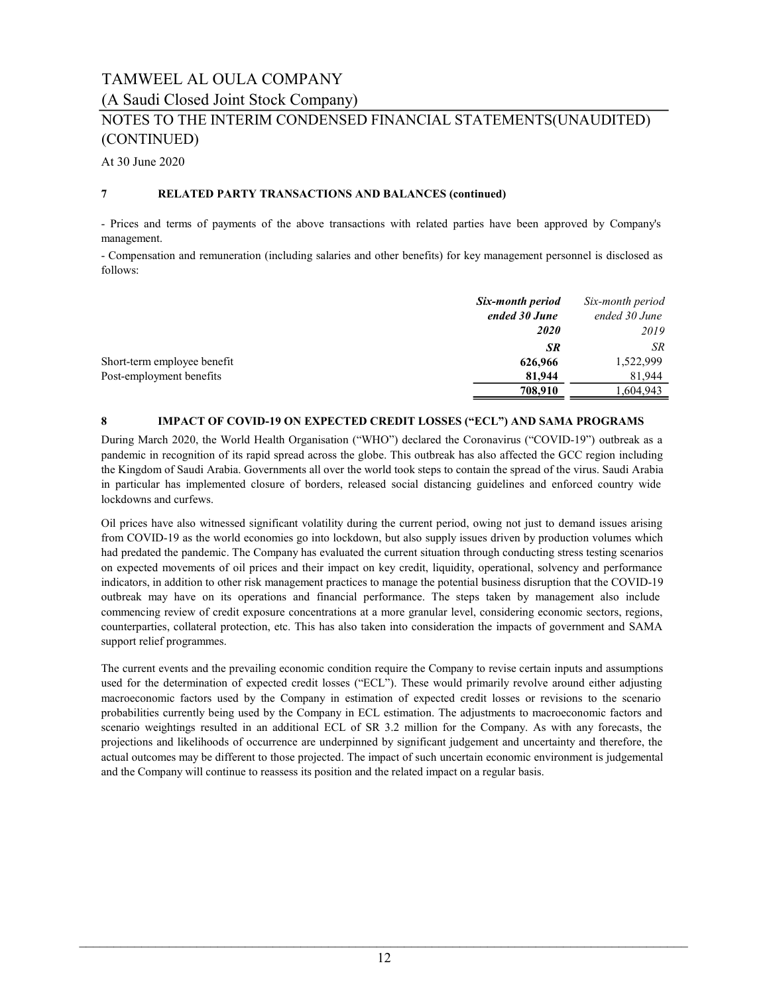(A Saudi Closed Joint Stock Company)

## NOTES TO THE INTERIM CONDENSED FINANCIAL STATEMENTS(UNAUDITED) (CONTINUED)

At 30 June 2020

### 7 RELATED PARTY TRANSACTIONS AND BALANCES (continued)

- Prices and terms of payments of the above transactions with related parties have been approved by Company's management.

- Compensation and remuneration (including salaries and other benefits) for key management personnel is disclosed as follows:

|                             | Six-month period<br>ended 30 June | Six-month period<br>ended 30 June |
|-----------------------------|-----------------------------------|-----------------------------------|
|                             | <b>2020</b>                       | 2019                              |
|                             | <b>SR</b>                         | SR.                               |
| Short-term employee benefit | 626,966                           | 1,522,999                         |
| Post-employment benefits    | 81,944                            | 81.944                            |
|                             | 708,910                           | 1,604,943                         |

### 8 IMPACT OF COVID-19 ON EXPECTED CREDIT LOSSES ("ECL") AND SAMA PROGRAMS

During March 2020, the World Health Organisation ("WHO") declared the Coronavirus ("COVID-19") outbreak as a pandemic in recognition of its rapid spread across the globe. This outbreak has also affected the GCC region including the Kingdom of Saudi Arabia. Governments all over the world took steps to contain the spread of the virus. Saudi Arabia in particular has implemented closure of borders, released social distancing guidelines and enforced country wide lockdowns and curfews.

Oil prices have also witnessed significant volatility during the current period, owing not just to demand issues arising from COVID-19 as the world economies go into lockdown, but also supply issues driven by production volumes which had predated the pandemic. The Company has evaluated the current situation through conducting stress testing scenarios on expected movements of oil prices and their impact on key credit, liquidity, operational, solvency and performance indicators, in addition to other risk management practices to manage the potential business disruption that the COVID-19 outbreak may have on its operations and financial performance. The steps taken by management also include commencing review of credit exposure concentrations at a more granular level, considering economic sectors, regions, counterparties, collateral protection, etc. This has also taken into consideration the impacts of government and SAMA support relief programmes.

The current events and the prevailing economic condition require the Company to revise certain inputs and assumptions used for the determination of expected credit losses ("ECL"). These would primarily revolve around either adjusting macroeconomic factors used by the Company in estimation of expected credit losses or revisions to the scenario probabilities currently being used by the Company in ECL estimation. The adjustments to macroeconomic factors and scenario weightings resulted in an additional ECL of SR 3.2 million for the Company. As with any forecasts, the projections and likelihoods of occurrence are underpinned by significant judgement and uncertainty and therefore, the actual outcomes may be different to those projected. The impact of such uncertain economic environment is judgemental and the Company will continue to reassess its position and the related impact on a regular basis.